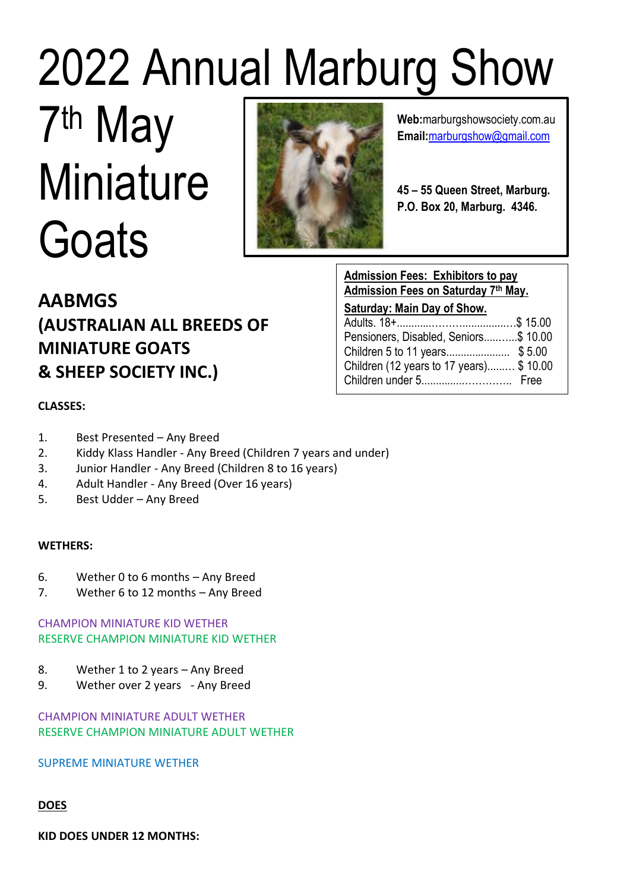# 2022 Annual Marburg Show

# 7 th May **Miniature Goats**



**Web:**marburgshowsociety.com.au **Email:**[marburgshow@gmail.com](mailto:marburgshow@gmail.com)

**45 – 55 Queen Street, Marburg. P.O. Box 20, Marburg. 4346.**

# **AABMGS (AUSTRALIAN ALL BREEDS OF MINIATURE GOATS & SHEEP SOCIETY INC.)**

**Admission Fees: Exhibitors to pay Admission Fees on Saturday 7th May. Saturday: Main Day of Show.** 

| Pensioners, Disabled, Seniors\$10.00    |  |
|-----------------------------------------|--|
|                                         |  |
| Children (12 years to 17 years) \$10.00 |  |
|                                         |  |

# **CLASSES:**

- 1. Best Presented Any Breed
- 2. Kiddy Klass Handler Any Breed (Children 7 years and under)
- 3. Junior Handler Any Breed (Children 8 to 16 years)
- 4. Adult Handler Any Breed (Over 16 years)
- 5. Best Udder Any Breed

# **WETHERS:**

- 6. Wether 0 to 6 months Any Breed
- 7. Wether 6 to 12 months Any Breed

### CHAMPION MINIATURE KID WETHER RESERVE CHAMPION MINIATURE KID WETHER

- 8. Wether 1 to 2 years Any Breed
- 9. Wether over 2 years Any Breed

# CHAMPION MINIATURE ADULT WETHER RESERVE CHAMPION MINIATURE ADULT WETHER

# SUPREME MINIATURE WETHER

# **DOES**

**KID DOES UNDER 12 MONTHS:**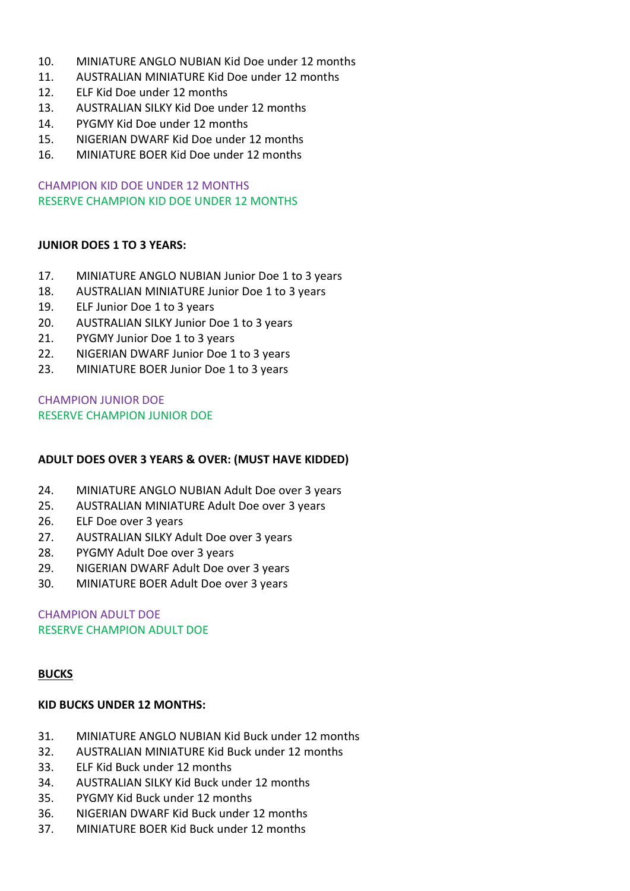- 10. MINIATURE ANGLO NUBIAN Kid Doe under 12 months
- 11. AUSTRALIAN MINIATURE Kid Doe under 12 months
- 12. ELF Kid Doe under 12 months
- 13. AUSTRALIAN SILKY Kid Doe under 12 months
- 14. PYGMY Kid Doe under 12 months
- 15. NIGERIAN DWARF Kid Doe under 12 months
- 16. MINIATURE BOER Kid Doe under 12 months

CHAMPION KID DOE UNDER 12 MONTHS RESERVE CHAMPION KID DOE UNDER 12 MONTHS

#### **JUNIOR DOES 1 TO 3 YEARS:**

- 17. MINIATURE ANGLO NUBIAN Junior Doe 1 to 3 years
- 18. AUSTRALIAN MINIATURE Junior Doe 1 to 3 years
- 19. ELF Junior Doe 1 to 3 years
- 20. AUSTRALIAN SILKY Junior Doe 1 to 3 years
- 21. PYGMY Junior Doe 1 to 3 years
- 22. NIGERIAN DWARF Junior Doe 1 to 3 years
- 23. MINIATURE BOER Junior Doe 1 to 3 years

CHAMPION JUNIOR DOE RESERVE CHAMPION JUNIOR DOE

#### **ADULT DOES OVER 3 YEARS & OVER: (MUST HAVE KIDDED)**

- 24. MINIATURE ANGLO NUBIAN Adult Doe over 3 years
- 25. AUSTRALIAN MINIATURE Adult Doe over 3 years
- 26. ELF Doe over 3 years
- 27. AUSTRALIAN SILKY Adult Doe over 3 years
- 28. PYGMY Adult Doe over 3 years
- 29. NIGERIAN DWARF Adult Doe over 3 years
- 30. MINIATURE BOER Adult Doe over 3 years

CHAMPION ADULT DOE RESERVE CHAMPION ADULT DOE

#### **BUCKS**

#### **KID BUCKS UNDER 12 MONTHS:**

- 31. MINIATURE ANGLO NUBIAN Kid Buck under 12 months
- 32. AUSTRALIAN MINIATURE Kid Buck under 12 months
- 33. ELF Kid Buck under 12 months
- 34. AUSTRALIAN SILKY Kid Buck under 12 months
- 35. PYGMY Kid Buck under 12 months
- 36. NIGERIAN DWARF Kid Buck under 12 months
- 37. MINIATURE BOER Kid Buck under 12 months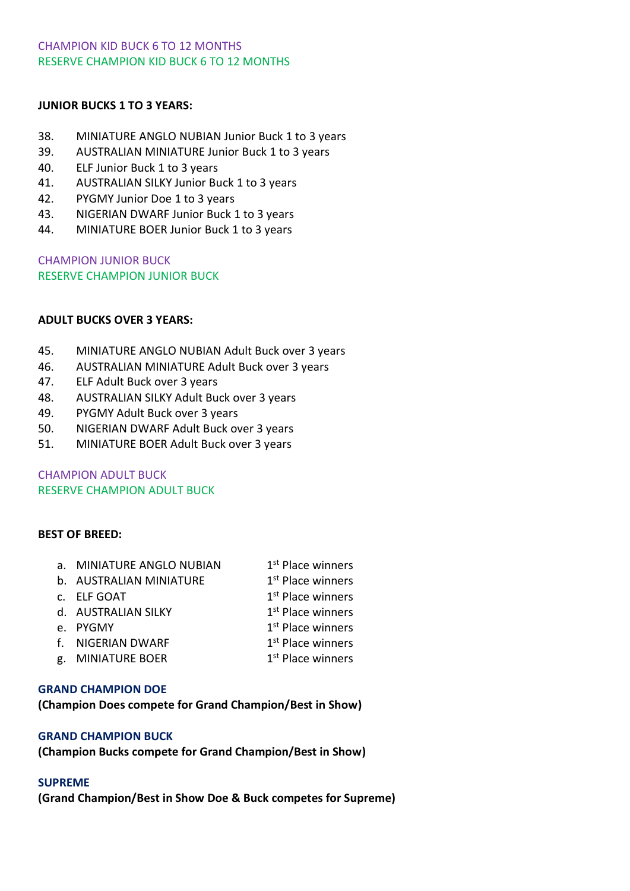#### CHAMPION KID BUCK 6 TO 12 MONTHS RESERVE CHAMPION KID BUCK 6 TO 12 MONTHS

#### **JUNIOR BUCKS 1 TO 3 YEARS:**

- 38. MINIATURE ANGLO NUBIAN Junior Buck 1 to 3 years
- 39. AUSTRALIAN MINIATURE Junior Buck 1 to 3 years
- 40. ELF Junior Buck 1 to 3 years
- 41. AUSTRALIAN SILKY Junior Buck 1 to 3 years
- 42. PYGMY Junior Doe 1 to 3 years
- 43. NIGERIAN DWARF Junior Buck 1 to 3 years
- 44. MINIATURE BOER Junior Buck 1 to 3 years

CHAMPION JUNIOR BUCK RESERVE CHAMPION JUNIOR BUCK

#### **ADULT BUCKS OVER 3 YEARS:**

- 45. MINIATURE ANGLO NUBIAN Adult Buck over 3 years
- 46. AUSTRALIAN MINIATURE Adult Buck over 3 years
- 47. ELF Adult Buck over 3 years
- 48. AUSTRALIAN SILKY Adult Buck over 3 years
- 49. PYGMY Adult Buck over 3 years
- 50. NIGERIAN DWARF Adult Buck over 3 years
- 51. MINIATURE BOER Adult Buck over 3 years

CHAMPION ADULT BUCK RESERVE CHAMPION ADULT BUCK

#### **BEST OF BREED:**

| a. MINIATURE ANGLO NUBIAN | 1 <sup>st</sup> Place winners |
|---------------------------|-------------------------------|
| b. AUSTRALIAN MINIATURE   | 1 <sup>st</sup> Place winners |
| C. ELF GOAT               | 1 <sup>st</sup> Place winners |
|                           |                               |

- d. AUSTRALIAN SILKY 1 1<sup>st</sup> Place winners
- e. PYGMY 1
- 1<sup>st</sup> Place winners 1<sup>st</sup> Place winners
- f. NIGERIAN DWARF g. MINIATURE BOER 1 1<sup>st</sup> Place winners

#### **GRAND CHAMPION DOE**

**(Champion Does compete for Grand Champion/Best in Show)**

#### **GRAND CHAMPION BUCK**

**(Champion Bucks compete for Grand Champion/Best in Show)**

#### **SUPREME**

**(Grand Champion/Best in Show Doe & Buck competes for Supreme)**